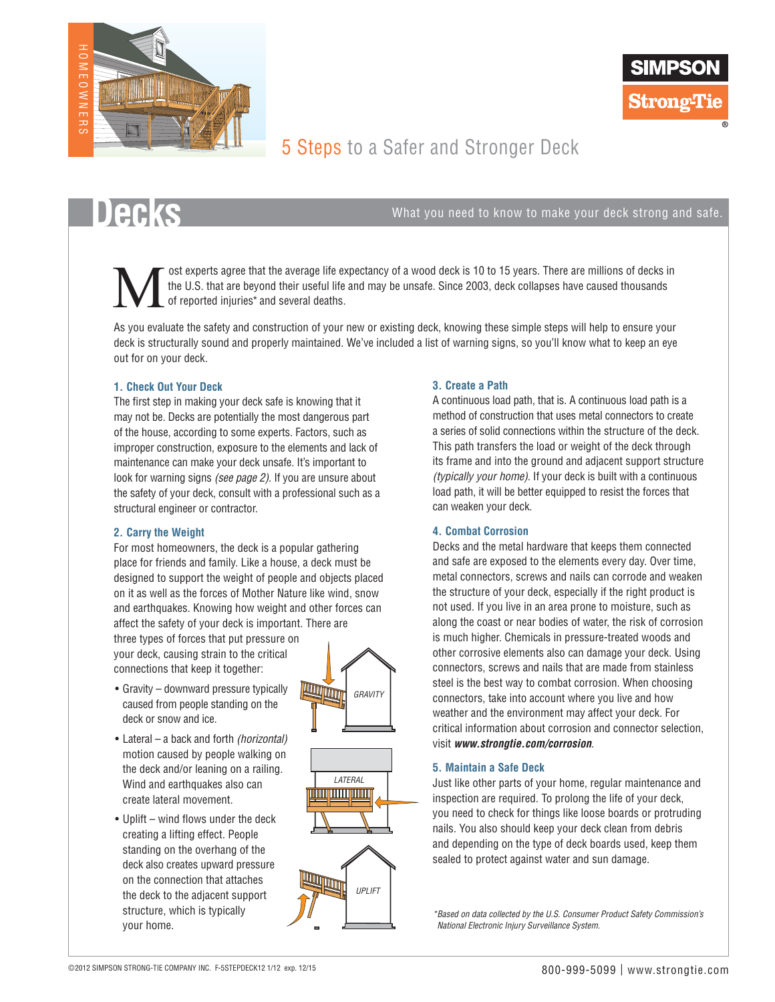



# 5 Steps to a Safer and Stronger Deck

**Decks**  $\bullet$  **S** 

 ost experts agree that the average life expectancy of a wood deck is 10 to 15 years. There are millions of decks in the U.S. that are beyond their useful life and may be unsafe. Since 2003, deck collapses have caused thousands of reported injuries\* and several deaths.  $\sum_{\text{the of}}^{\text{os}}$ 

As you evaluate the safety and construction of your new or existing deck, knowing these simple steps will help to ensure your deck is structurally sound and properly maintained. We've included a list of warning signs, so you'll know what to keep an eye out for on your deck.

### **1. Check Out Your Deck**

The first step in making your deck safe is knowing that it may not be. Decks are potentially the most dangerous part of the house, according to some experts. Factors, such as improper construction, exposure to the elements and lack of maintenance can make your deck unsafe. It's important to look for warning signs *(see page 2)*. If you are unsure about the safety of your deck, consult with a professional such as a structural engineer or contractor.

### **2. Carry the Weight**

For most homeowners, the deck is a popular gathering place for friends and family. Like a house, a deck must be designed to support the weight of people and objects placed on it as well as the forces of Mother Nature like wind, snow and earthquakes. Knowing how weight and other forces can affect the safety of your deck is important. There are

three types of forces that put pressure on your deck, causing strain to the critical connections that keep it together:

- Gravity downward pressure typically caused from people standing on the deck or snow and ice.
- • Lateral a back and forth *(horizontal)*  motion caused by people walking on the deck and/or leaning on a railing. Wind and earthquakes also can create lateral movement.
- Uplift wind flows under the deck creating a lifting effect. People standing on the overhang of the deck also creates upward pressure on the connection that attaches the deck to the adjacent support structure, which is typically your home.



#### **3. Create a Path**

A continuous load path, that is. A continuous load path is a method of construction that uses metal connectors to create a series of solid connections within the structure of the deck. This path transfers the load or weight of the deck through its frame and into the ground and adjacent support structure *(typically your home)*. If your deck is built with a continuous load path, it will be better equipped to resist the forces that can weaken your deck.

### **4. Combat Corrosion**

Decks and the metal hardware that keeps them connected and safe are exposed to the elements every day. Over time, metal connectors, screws and nails can corrode and weaken the structure of your deck, especially if the right product is not used. If you live in an area prone to moisture, such as along the coast or near bodies of water, the risk of corrosion is much higher. Chemicals in pressure-treated woods and other corrosive elements also can damage your deck. Using connectors, screws and nails that are made from stainless steel is the best way to combat corrosion. When choosing connectors, take into account where you live and how weather and the environment may affect your deck. For critical information about corrosion and connector selection, visit *www.strongtie.com/corrosion*.

#### **5. Maintain a Safe Deck**

Just like other parts of your home, regular maintenance and inspection are required. To prolong the life of your deck, you need to check for things like loose boards or protruding nails. You also should keep your deck clean from debris and depending on the type of deck boards used, keep them sealed to protect against water and sun damage.

*\*Based on data collected by the U.S. Consumer Product Safety Commission's National Electronic Injury Surveillance System.*